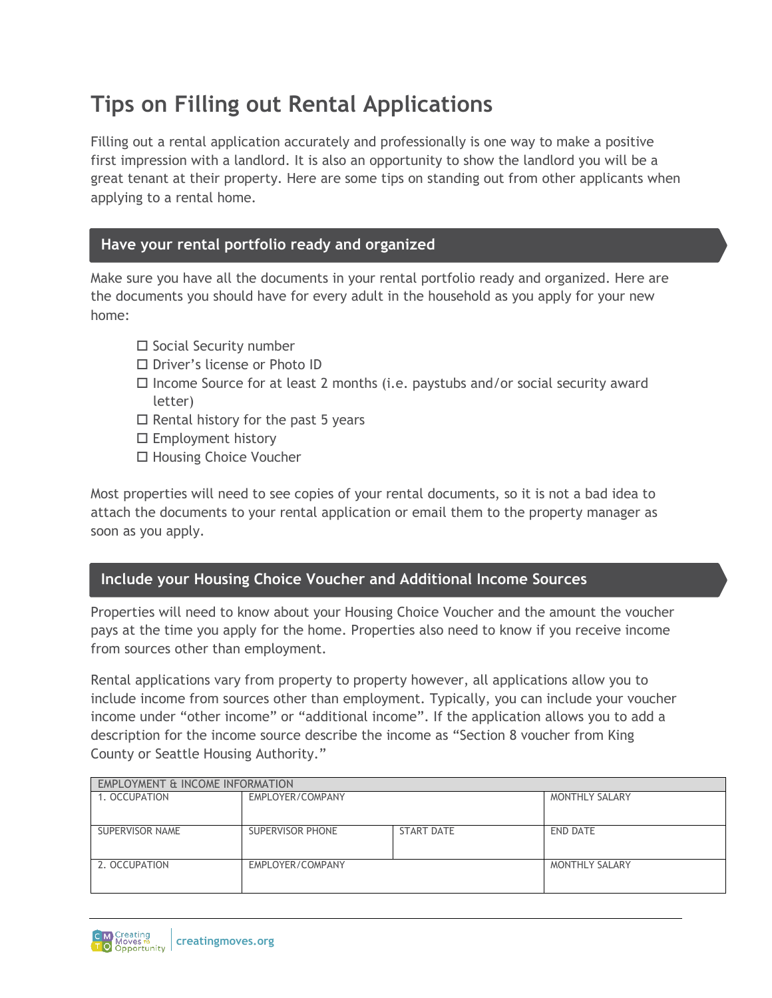# **Tips on Filling out Rental Applications**

Filling out a rental application accurately and professionally is one way to make a positive first impression with a landlord. It is also an opportunity to show the landlord you will be a great tenant at their property. Here are some tips on standing out from other applicants when applying to a rental home.

## **Have your rental portfolio ready and organized**

Make sure you have all the documents in your rental portfolio ready and organized. Here are the documents you should have for every adult in the household as you apply for your new home:

- $\square$  Social Security number
- □ Driver's license or Photo ID
- $\Box$  Income Source for at least 2 months (i.e. paystubs and/or social security award letter)
- $\Box$  Rental history for the past 5 years
- $\square$  Employment history
- □ Housing Choice Voucher

Most properties will need to see copies of your rental documents, so it is not a bad idea to attach the documents to your rental application or email them to the property manager as soon as you apply.

## **Include your Housing Choice Voucher and Additional Income Sources**

Properties will need to know about your Housing Choice Voucher and the amount the voucher pays at the time you apply for the home. Properties also need to know if you receive income from sources other than employment.

Rental applications vary from property to property however, all applications allow you to include income from sources other than employment. Typically, you can include your voucher income under "other income" or "additional income". If the application allows you to add a description for the income source describe the income as "Section 8 voucher from King County or Seattle Housing Authority."

| <b>EMPLOYMENT &amp; INCOME INFORMATION</b> |                  |                   |                       |
|--------------------------------------------|------------------|-------------------|-----------------------|
| 1. OCCUPATION                              | EMPLOYER/COMPANY |                   | <b>MONTHLY SALARY</b> |
|                                            |                  |                   |                       |
| SUPERVISOR NAME                            | SUPERVISOR PHONE | <b>START DATE</b> | END DATE              |
|                                            |                  |                   |                       |
| 2. OCCUPATION                              | EMPLOYER/COMPANY |                   | <b>MONTHLY SALARY</b> |
|                                            |                  |                   |                       |

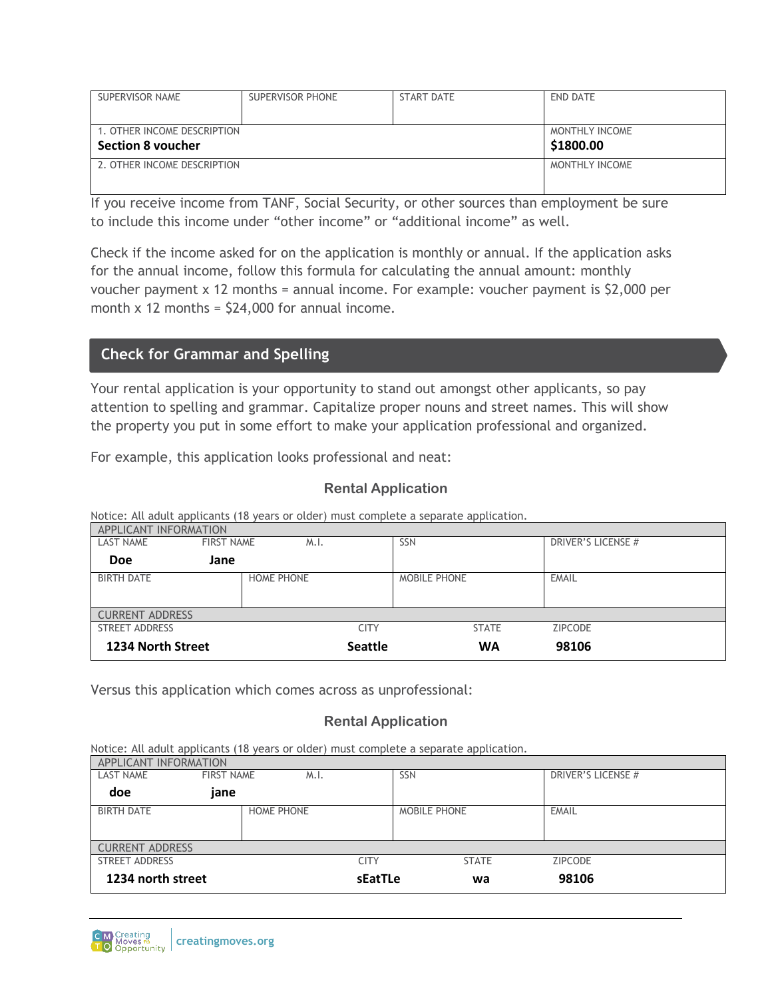| SUPERVISOR NAME             | SUPERVISOR PHONE | START DATE | END DATE       |
|-----------------------------|------------------|------------|----------------|
|                             |                  |            |                |
| 1. OTHER INCOME DESCRIPTION | MONTHLY INCOME   |            |                |
| <b>Section 8 youcher</b>    | \$1800.00        |            |                |
| 2. OTHER INCOME DESCRIPTION |                  |            | MONTHLY INCOME |
|                             |                  |            |                |

If you receive income from TANF, Social Security, or other sources than employment be sure to include this income under "other income" or "additional income" as well.

Check if the income asked for on the application is monthly or annual. If the application asks for the annual income, follow this formula for calculating the annual amount: monthly voucher payment x 12 months = annual income. For example: voucher payment is \$2,000 per month  $x$  12 months =  $$24,000$  for annual income.

## **Check for Grammar and Spelling**

Your rental application is your opportunity to stand out amongst other applicants, so pay attention to spelling and grammar. Capitalize proper nouns and street names. This will show the property you put in some effort to make your application professional and organized.

For example, this application looks professional and neat:

### **Rental Application**

Notice: All adult applicants (18 years or older) must complete a separate application.

| APPLICANT INFORMATION  |                   |                |                     |                           |  |
|------------------------|-------------------|----------------|---------------------|---------------------------|--|
| <b>LAST NAME</b>       | <b>FIRST NAME</b> | M.I.           | SSN                 | <b>DRIVER'S LICENSE #</b> |  |
| <b>Doe</b>             | Jane              |                |                     |                           |  |
| <b>BIRTH DATE</b>      | <b>HOME PHONE</b> |                | <b>MOBILE PHONE</b> | <b>EMAIL</b>              |  |
| <b>CURRENT ADDRESS</b> |                   |                |                     |                           |  |
| STREET ADDRESS         |                   | CITY           | <b>STATE</b>        | <b>ZIPCODE</b>            |  |
| 1234 North Street      |                   | <b>Seattle</b> | <b>WA</b>           | 98106                     |  |

Versus this application which comes across as unprofessional:

#### **Rental Application**

Notice: All adult applicants (18 years or older) must complete a separate application.

| APPLICANT INFORMATION  |                           |             |              |                    |  |
|------------------------|---------------------------|-------------|--------------|--------------------|--|
| <b>LAST NAME</b>       | <b>FIRST NAME</b><br>M.I. | SSN         |              | DRIVER'S LICENSE # |  |
| doe                    | jane                      |             |              |                    |  |
| <b>BIRTH DATE</b>      | <b>HOME PHONE</b>         |             | MOBILE PHONE | <b>EMAIL</b>       |  |
| <b>CURRENT ADDRESS</b> |                           |             |              |                    |  |
| STREET ADDRESS         |                           | <b>CITY</b> | <b>STATE</b> | <b>ZIPCODE</b>     |  |
| 1234 north street      |                           | sEatTLe     | wa           | 98106              |  |